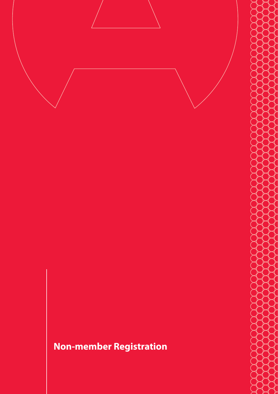# **Non-member Registration**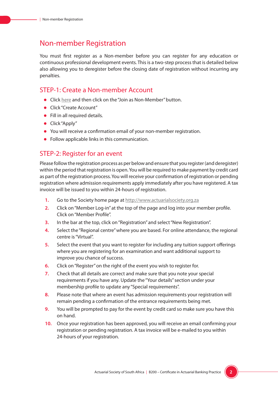# Non-member Registration

You must first register as a Non-member before you can register for any education or continuous professional development events. This is a two-step process that is detailed below also allowing you to deregister before the closing date of registration without incurring any penalties.

## STEP-1: Create a Non-member Account

- **.** Click here and then click on the "Join as Non-Member" button.
- **•** Click "Create Account"
- $\bullet$  Fill in all required details.
- $\bullet$  Click "Apply"
- You will receive a confirmation email of your non-member registration.
- Follow applicable links in this communication.

### STEP-2: Register for an event

Please follow the registration process as per below and ensure that you register (and deregister) within the period that registration is open. You will be required to make payment by credit card as part of the registration process. You will receive your confirmation of registration or pending registration where admission requirements apply immediately after you have registered. A tax invoice will be issued to you within 24-hours of registration.

- **1.** Go to the Society home page at http://www.actuarialsociety.org.za
- **2.** Click on "Member Log-in" at the top of the page and log into your member profile. Click on "Member Profile".
- **3.** In the bar at the top, click on "Registration" and select "New Registration".
- **4.** Select the "Regional centre" where you are based. For online attendance, the regional centre is "Virtual".
- **5.** Select the event that you want to register for including any tuition support offerings where you are registering for an examination and want additional support to improve you chance of success.
- **6.** Click on "Register" on the right of the event you wish to register for.
- **7.** Check that all details are correct and make sure that you note your special requirements if you have any. Update the "Your details" section under your membership profile to update any "Special requirements".
- **8.** Please note that where an event has admission requirements your registration will remain pending a confirmation of the entrance requirements being met.
- **9.** You will be prompted to pay for the event by credit card so make sure you have this on hand.
- **10.** Once your registration has been approved, you will receive an email confirming your registration or pending registration. A tax invoice will be e-mailed to you within 24-hours of your registration.